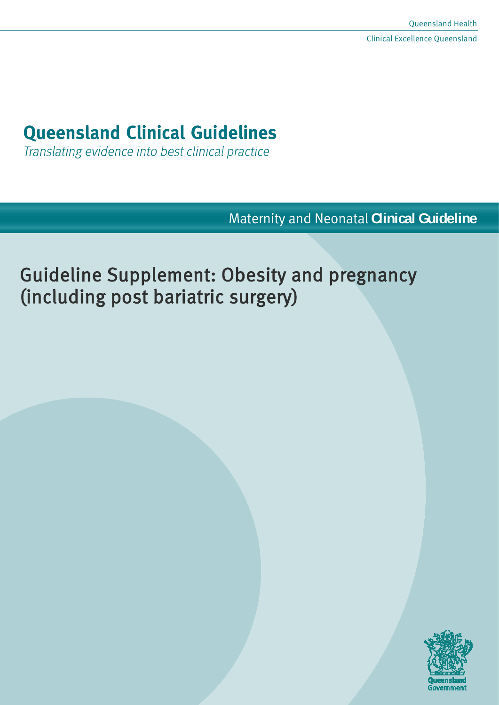# **Queensland Clinical Guidelines**

Translating evidence into best clinical practice

Maternity and Neonatal **Clinical Guideline**

# Guideline Supplement: Obesity and pregnancy (including post bariatric surgery)

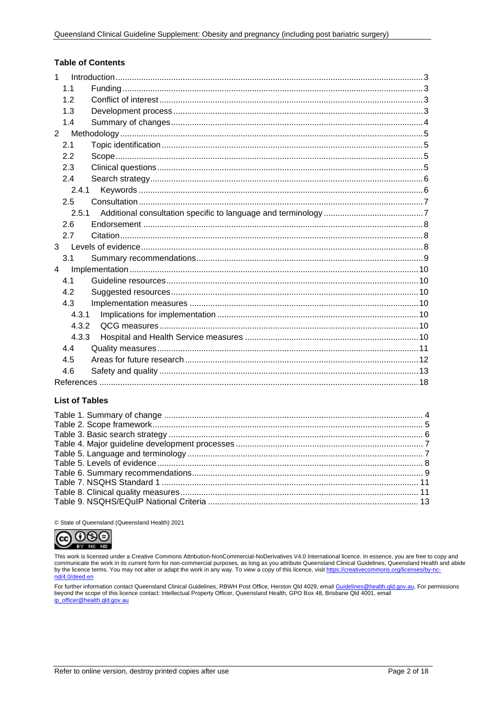#### **Table of Contents**

| $\mathbf{1}$ |       |                                                                                                                |     |
|--------------|-------|----------------------------------------------------------------------------------------------------------------|-----|
|              | 1.1   |                                                                                                                |     |
|              | 1.2   |                                                                                                                |     |
|              | 1.3   |                                                                                                                |     |
|              | 1.4   |                                                                                                                |     |
| 2            |       |                                                                                                                |     |
|              | 2.1   |                                                                                                                |     |
|              | 2.2   |                                                                                                                |     |
|              | 2.3   |                                                                                                                |     |
|              | 2.4   |                                                                                                                |     |
|              | 2.4.1 |                                                                                                                |     |
|              | 2.5   |                                                                                                                |     |
|              | 2.5.1 |                                                                                                                |     |
|              | 2.6   |                                                                                                                |     |
|              | 2.7   |                                                                                                                |     |
| 3            |       |                                                                                                                |     |
|              | 3.1   |                                                                                                                |     |
| 4            |       |                                                                                                                |     |
|              | 4.1   |                                                                                                                |     |
|              | 4.2   |                                                                                                                |     |
|              | 4.3   |                                                                                                                |     |
|              | 4.3.1 |                                                                                                                |     |
|              | 4.3.2 |                                                                                                                |     |
|              | 4.3.3 |                                                                                                                |     |
|              | 4.4   |                                                                                                                |     |
|              | 4.5   |                                                                                                                |     |
|              | 4.6   |                                                                                                                |     |
|              |       | References and the contract of the contract of the contract of the contract of the contract of the contract of | -18 |

#### **List of Tables**

© State of Queensland (Queensland Health) 2021



This work is licensed under a Creative Commons Attribution-NonCommercial-NoDerivatives V4.0 International licence. In essence, you are free to copy and<br>communicate the work in its current form for non-commercial purposes,

For further information contact Queensland Clinical Guidelines, RBWH Post Office, Herston Qld 4029, email Guidelines@health.qld.gov.au, For permissions beyond the scope of this licence contact: Intellectual Property Officer, Queensland Health, GPO Box 48, Brisbane Qld 4001, email ip officer@health.gld.gov.au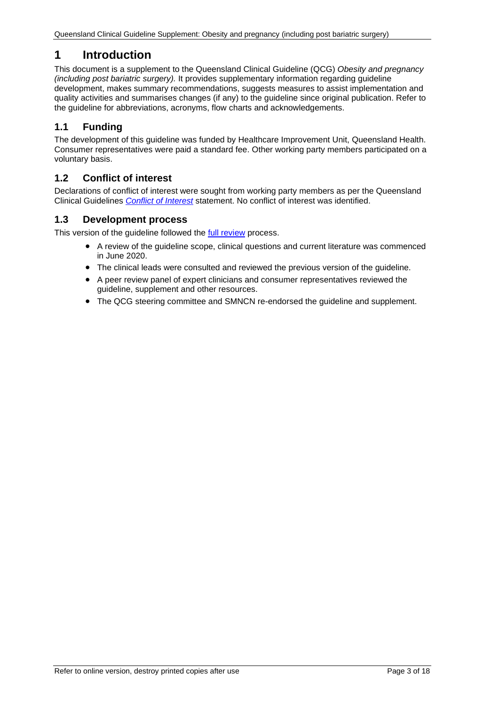# <span id="page-2-0"></span>**1 Introduction**

This document is a supplement to the Queensland Clinical Guideline (QCG) *Obesity and pregnancy (including post bariatric surgery).* It provides supplementary information regarding guideline development, makes summary recommendations, suggests measures to assist implementation and quality activities and summarises changes (if any) to the guideline since original publication. Refer to the guideline for abbreviations, acronyms, flow charts and acknowledgements.

# <span id="page-2-1"></span>**1.1 Funding**

The development of this guideline was funded by Healthcare Improvement Unit, Queensland Health. Consumer representatives were paid a standard fee. Other working party members participated on a voluntary basis.

## <span id="page-2-2"></span>**1.2 Conflict of interest**

Declarations of conflict of interest were sought from working party members as per the Queensland Clinical Guidelines *[Conflict of Interest](http://www.health.qld.gov.au/qcg/development#coi)* statement. No conflict of interest was identified.

## <span id="page-2-3"></span>**1.3 Development process**

This version of the guideline followed the *full review* process.

- A review of the guideline scope, clinical questions and current literature was commenced in June 2020.
- The clinical leads were consulted and reviewed the previous version of the guideline.
- A peer review panel of expert clinicians and consumer representatives reviewed the guideline, supplement and other resources.
- The QCG steering committee and SMNCN re-endorsed the guideline and supplement.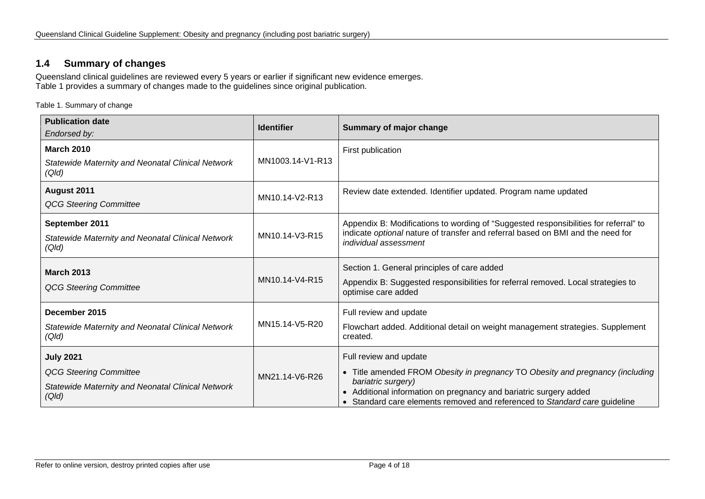# **1.4 Summary of changes**

Queensland clinical guidelines are reviewed every 5 years or earlier if significant new evidence emerges. [Table 1](#page-3-2) provides a summary of changes made to the guidelines since original publication.

<span id="page-3-2"></span>Table 1. Summary of change

<span id="page-3-1"></span><span id="page-3-0"></span>

| <b>Publication date</b><br>Endorsed by:                                                                         | <b>Identifier</b> | Summary of major change                                                                                                                                                                                                                                                          |  |
|-----------------------------------------------------------------------------------------------------------------|-------------------|----------------------------------------------------------------------------------------------------------------------------------------------------------------------------------------------------------------------------------------------------------------------------------|--|
| <b>March 2010</b><br>Statewide Maternity and Neonatal Clinical Network<br>(Qld)                                 | MN1003.14-V1-R13  | First publication                                                                                                                                                                                                                                                                |  |
| August 2011<br><b>QCG Steering Committee</b>                                                                    | MN10.14-V2-R13    | Review date extended. Identifier updated. Program name updated                                                                                                                                                                                                                   |  |
| September 2011<br>Statewide Maternity and Neonatal Clinical Network<br>(Q/d)                                    | MN10.14-V3-R15    | Appendix B: Modifications to wording of "Suggested responsibilities for referral" to<br>indicate optional nature of transfer and referral based on BMI and the need for<br>individual assessment                                                                                 |  |
| <b>March 2013</b><br><b>QCG Steering Committee</b>                                                              | MN10.14-V4-R15    | Section 1. General principles of care added<br>Appendix B: Suggested responsibilities for referral removed. Local strategies to<br>optimise care added                                                                                                                           |  |
| December 2015<br>Statewide Maternity and Neonatal Clinical Network<br>(Qld)                                     | MN15.14-V5-R20    | Full review and update<br>Flowchart added. Additional detail on weight management strategies. Supplement<br>created.                                                                                                                                                             |  |
| <b>July 2021</b><br><b>QCG Steering Committee</b><br>Statewide Maternity and Neonatal Clinical Network<br>(QId) | MN21.14-V6-R26    | Full review and update<br>• Title amended FROM Obesity in pregnancy TO Obesity and pregnancy (including<br>bariatric surgery)<br>• Additional information on pregnancy and bariatric surgery added<br>• Standard care elements removed and referenced to Standard care guideline |  |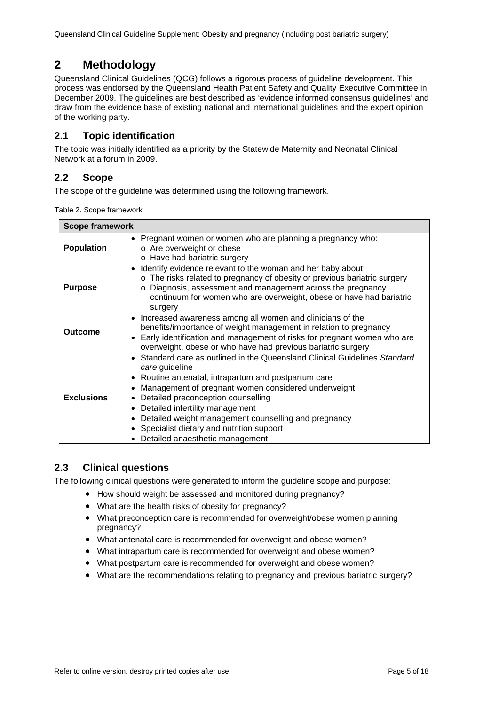# <span id="page-4-0"></span>**2 Methodology**

Queensland Clinical Guidelines (QCG) follows a rigorous process of guideline development. This process was endorsed by the Queensland Health Patient Safety and Quality Executive Committee in December 2009. The guidelines are best described as 'evidence informed consensus guidelines' and draw from the evidence base of existing national and international guidelines and the expert opinion of the working party.

## <span id="page-4-1"></span>**2.1 Topic identification**

The topic was initially identified as a priority by the Statewide Maternity and Neonatal Clinical Network at a forum in 2009.

## <span id="page-4-2"></span>**2.2 Scope**

<span id="page-4-4"></span>The scope of the guideline was determined using the following framework.

| Table 2. Scope framework |  |
|--------------------------|--|
|--------------------------|--|

| <b>Scope framework</b> |                                                                                                                                                                                                                                                                                                                                                                                                                           |  |  |  |  |
|------------------------|---------------------------------------------------------------------------------------------------------------------------------------------------------------------------------------------------------------------------------------------------------------------------------------------------------------------------------------------------------------------------------------------------------------------------|--|--|--|--|
| <b>Population</b>      | Pregnant women or women who are planning a pregnancy who:<br>o Are overweight or obese<br>o Have had bariatric surgery                                                                                                                                                                                                                                                                                                    |  |  |  |  |
| <b>Purpose</b>         | Identify evidence relevant to the woman and her baby about:<br>o The risks related to pregnancy of obesity or previous bariatric surgery<br>Diagnosis, assessment and management across the pregnancy<br>$\circ$<br>continuum for women who are overweight, obese or have had bariatric<br>surgery                                                                                                                        |  |  |  |  |
| <b>Outcome</b>         | Increased awareness among all women and clinicians of the<br>benefits/importance of weight management in relation to pregnancy<br>Early identification and management of risks for pregnant women who are<br>overweight, obese or who have had previous bariatric surgery                                                                                                                                                 |  |  |  |  |
| <b>Exclusions</b>      | Standard care as outlined in the Queensland Clinical Guidelines Standard<br>care guideline<br>• Routine antenatal, intrapartum and postpartum care<br>Management of pregnant women considered underweight<br>Detailed preconception counselling<br>Detailed infertility management<br>Detailed weight management counselling and pregnancy<br>Specialist dietary and nutrition support<br>Detailed anaesthetic management |  |  |  |  |

## <span id="page-4-3"></span>**2.3 Clinical questions**

The following clinical questions were generated to inform the guideline scope and purpose:

- How should weight be assessed and monitored during pregnancy?
- What are the health risks of obesity for pregnancy?
- What preconception care is recommended for overweight/obese women planning pregnancy?
- What antenatal care is recommended for overweight and obese women?
- What intrapartum care is recommended for overweight and obese women?
- What postpartum care is recommended for overweight and obese women?
- What are the recommendations relating to pregnancy and previous bariatric surgery?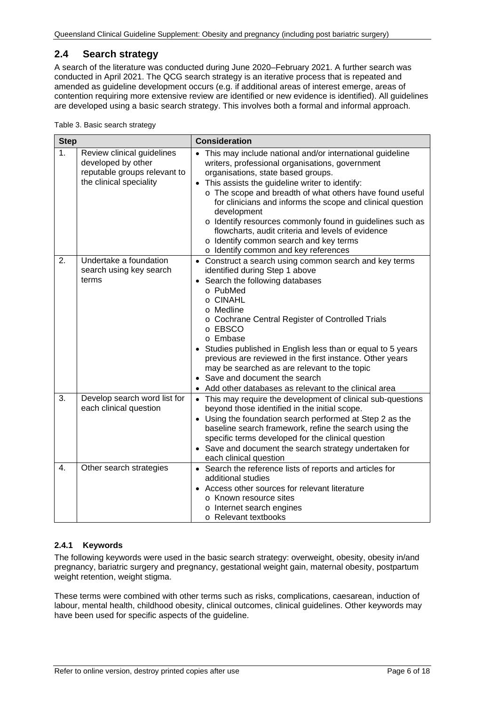## <span id="page-5-0"></span>**2.4 Search strategy**

A search of the literature was conducted during June 2020–February 2021. A further search was conducted in April 2021. The QCG search strategy is an iterative process that is repeated and amended as guideline development occurs (e.g. if additional areas of interest emerge, areas of contention requiring more extensive review are identified or new evidence is identified). All guidelines are developed using a basic search strategy. This involves both a formal and informal approach.

<span id="page-5-2"></span>

| Table 3. Basic search strategy |
|--------------------------------|
|--------------------------------|

| <b>Step</b> |                                                                                                             | <b>Consideration</b>                                                                                                                                                                                                                                                                                                                                                                                                                                                                                                                                            |  |  |
|-------------|-------------------------------------------------------------------------------------------------------------|-----------------------------------------------------------------------------------------------------------------------------------------------------------------------------------------------------------------------------------------------------------------------------------------------------------------------------------------------------------------------------------------------------------------------------------------------------------------------------------------------------------------------------------------------------------------|--|--|
| 1.          | Review clinical guidelines<br>developed by other<br>reputable groups relevant to<br>the clinical speciality | This may include national and/or international guideline<br>$\bullet$<br>writers, professional organisations, government<br>organisations, state based groups.<br>• This assists the guideline writer to identify:<br>o The scope and breadth of what others have found useful<br>for clinicians and informs the scope and clinical question<br>development<br>o Identify resources commonly found in guidelines such as<br>flowcharts, audit criteria and levels of evidence<br>o Identify common search and key terms<br>o Identify common and key references |  |  |
| 2.          | Undertake a foundation<br>search using key search<br>terms                                                  | • Construct a search using common search and key terms<br>identified during Step 1 above<br>Search the following databases<br>$\bullet$<br>o PubMed<br>o CINAHL<br>o Medline<br>o Cochrane Central Register of Controlled Trials<br>o EBSCO<br>o Embase<br>Studies published in English less than or equal to 5 years<br>previous are reviewed in the first instance. Other years<br>may be searched as are relevant to the topic<br>• Save and document the search<br>Add other databases as relevant to the clinical area                                     |  |  |
| 3.          | Develop search word list for<br>each clinical question                                                      | • This may require the development of clinical sub-questions<br>beyond those identified in the initial scope.<br>• Using the foundation search performed at Step 2 as the<br>baseline search framework, refine the search using the<br>specific terms developed for the clinical question<br>• Save and document the search strategy undertaken for<br>each clinical question                                                                                                                                                                                   |  |  |
| 4.          | Other search strategies                                                                                     | • Search the reference lists of reports and articles for<br>additional studies<br>Access other sources for relevant literature<br>o Known resource sites<br>o Internet search engines<br>o Relevant textbooks                                                                                                                                                                                                                                                                                                                                                   |  |  |

#### <span id="page-5-1"></span>**2.4.1 Keywords**

The following keywords were used in the basic search strategy: overweight, obesity, obesity in/and pregnancy, bariatric surgery and pregnancy, gestational weight gain, maternal obesity, postpartum weight retention, weight stigma.

These terms were combined with other terms such as risks, complications, caesarean, induction of labour, mental health, childhood obesity, clinical outcomes, clinical guidelines. Other keywords may have been used for specific aspects of the guideline.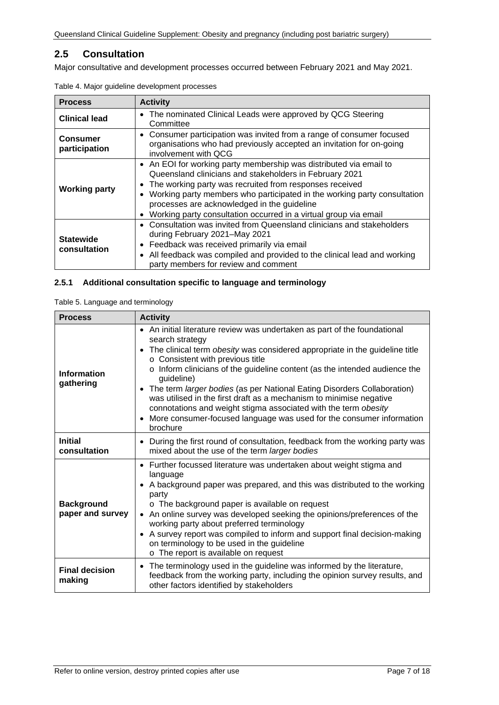# <span id="page-6-0"></span>**2.5 Consultation**

 $\overline{1}$ 

Major consultative and development processes occurred between February 2021 and May 2021.

| <b>Process</b>                   | <b>Activity</b>                                                                                                                                                                                                                                                                                                                                                                                                   |  |  |  |
|----------------------------------|-------------------------------------------------------------------------------------------------------------------------------------------------------------------------------------------------------------------------------------------------------------------------------------------------------------------------------------------------------------------------------------------------------------------|--|--|--|
| <b>Clinical lead</b>             | The nominated Clinical Leads were approved by QCG Steering<br>$\bullet$<br>Committee                                                                                                                                                                                                                                                                                                                              |  |  |  |
| <b>Consumer</b><br>participation | • Consumer participation was invited from a range of consumer focused<br>organisations who had previously accepted an invitation for on-going<br>involvement with QCG                                                                                                                                                                                                                                             |  |  |  |
| <b>Working party</b>             | • An EOI for working party membership was distributed via email to<br>Queensland clinicians and stakeholders in February 2021<br>The working party was recruited from responses received<br>Working party members who participated in the working party consultation<br>$\bullet$<br>processes are acknowledged in the guideline<br>Working party consultation occurred in a virtual group via email<br>$\bullet$ |  |  |  |
| <b>Statewide</b><br>consultation | • Consultation was invited from Queensland clinicians and stakeholders<br>during February 2021-May 2021<br>Feedback was received primarily via email<br>$\bullet$<br>All feedback was compiled and provided to the clinical lead and working<br>party members for review and comment                                                                                                                              |  |  |  |

<span id="page-6-2"></span>

| Table 4. Major guideline development processes |
|------------------------------------------------|
|                                                |

#### <span id="page-6-1"></span>**2.5.1 Additional consultation specific to language and terminology**

<span id="page-6-3"></span>

| Table 5. Language and terminology |  |  |  |
|-----------------------------------|--|--|--|
|-----------------------------------|--|--|--|

| <b>Process</b>                        | <b>Activity</b>                                                                                                                                                                                                                                                                                                                                                                                                                                                                                                                                                                                                                                  |  |  |  |
|---------------------------------------|--------------------------------------------------------------------------------------------------------------------------------------------------------------------------------------------------------------------------------------------------------------------------------------------------------------------------------------------------------------------------------------------------------------------------------------------------------------------------------------------------------------------------------------------------------------------------------------------------------------------------------------------------|--|--|--|
| <b>Information</b><br>gathering       | • An initial literature review was undertaken as part of the foundational<br>search strategy<br>The clinical term obesity was considered appropriate in the guideline title<br>$\bullet$<br>o Consistent with previous title<br>o Inform clinicians of the guideline content (as the intended audience the<br>guideline)<br>• The term larger bodies (as per National Eating Disorders Collaboration)<br>was utilised in the first draft as a mechanism to minimise negative<br>connotations and weight stigma associated with the term obesity<br>More consumer-focused language was used for the consumer information<br>$\bullet$<br>brochure |  |  |  |
| <b>Initial</b><br>consultation        | • During the first round of consultation, feedback from the working party was<br>mixed about the use of the term larger bodies                                                                                                                                                                                                                                                                                                                                                                                                                                                                                                                   |  |  |  |
| <b>Background</b><br>paper and survey | • Further focussed literature was undertaken about weight stigma and<br>language<br>• A background paper was prepared, and this was distributed to the working<br>party<br>o The background paper is available on request<br>• An online survey was developed seeking the opinions/preferences of the<br>working party about preferred terminology<br>A survey report was compiled to inform and support final decision-making<br>$\bullet$<br>on terminology to be used in the guideline<br>o The report is available on request                                                                                                                |  |  |  |
| <b>Final decision</b><br>making       | The terminology used in the guideline was informed by the literature,<br>$\bullet$<br>feedback from the working party, including the opinion survey results, and<br>other factors identified by stakeholders                                                                                                                                                                                                                                                                                                                                                                                                                                     |  |  |  |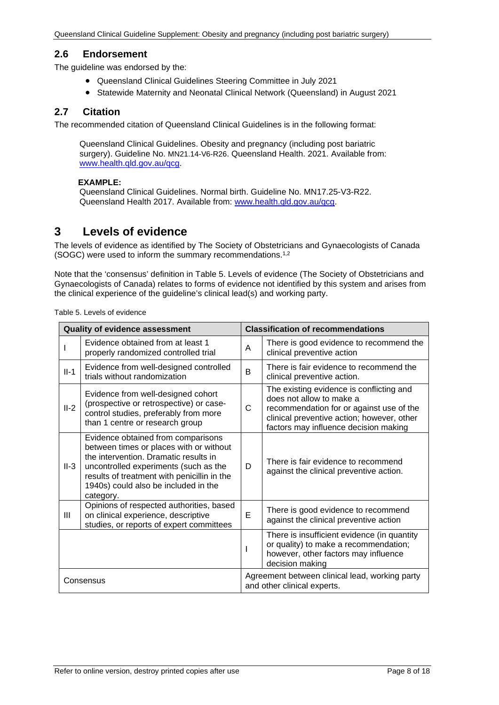#### <span id="page-7-0"></span>**2.6 Endorsement**

The guideline was endorsed by the:

- Queensland Clinical Guidelines Steering Committee in July 2021
- Statewide Maternity and Neonatal Clinical Network (Queensland) in August 2021

## <span id="page-7-1"></span>**2.7 Citation**

The recommended citation of Queensland Clinical Guidelines is in the following format:

Queensland Clinical Guidelines. Obesity and pregnancy (including post bariatric surgery). Guideline No. MN21.14-V6-R26. Queensland Health. 2021. Available from: [www.health.qld.gov.au/qcg.](http://www.health.qld.gov.au/qcg)

#### **EXAMPLE:**

Queensland Clinical Guidelines. Normal birth. Guideline No. MN17.25-V3-R22. Queensland Health 2017. Available from: [www.health.qld.gov.au/qcg.](http://www.health.qld.gov.au/qcg)

# <span id="page-7-2"></span>**3 Levels of evidence**

The levels of evidence as identified by The Society of Obstetricians and Gynaecologists of Canada (SOGC) were used to inform the summary recommendations.1,2

Note that the 'consensus' definition in [Table 5. Levels of evidence \(The Society of Obstetricians and](#page-7-3)  [Gynaecologists of Canada\)](#page-7-3) relates to forms of evidence not identified by this system and arises from the clinical experience of the guideline's clinical lead(s) and working party.

| <b>Quality of evidence assessment</b> |                                                                                                                                                                                                                                                                     |   | <b>Classification of recommendations</b>                                                                                                                                                                |  |
|---------------------------------------|---------------------------------------------------------------------------------------------------------------------------------------------------------------------------------------------------------------------------------------------------------------------|---|---------------------------------------------------------------------------------------------------------------------------------------------------------------------------------------------------------|--|
|                                       | Evidence obtained from at least 1<br>properly randomized controlled trial                                                                                                                                                                                           | A | There is good evidence to recommend the<br>clinical preventive action                                                                                                                                   |  |
| $II-1$                                | Evidence from well-designed controlled<br>trials without randomization                                                                                                                                                                                              | B | There is fair evidence to recommend the<br>clinical preventive action.                                                                                                                                  |  |
| $II-2$                                | Evidence from well-designed cohort<br>(prospective or retrospective) or case-<br>control studies, preferably from more<br>than 1 centre or research group                                                                                                           | C | The existing evidence is conflicting and<br>does not allow to make a<br>recommendation for or against use of the<br>clinical preventive action; however, other<br>factors may influence decision making |  |
| $II-3$                                | Evidence obtained from comparisons<br>between times or places with or without<br>the intervention. Dramatic results in<br>uncontrolled experiments (such as the<br>results of treatment with penicillin in the<br>1940s) could also be included in the<br>category. | D | There is fair evidence to recommend<br>against the clinical preventive action.                                                                                                                          |  |
| Ш                                     | Opinions of respected authorities, based<br>on clinical experience, descriptive<br>studies, or reports of expert committees                                                                                                                                         | Е | There is good evidence to recommend<br>against the clinical preventive action                                                                                                                           |  |
|                                       |                                                                                                                                                                                                                                                                     |   | There is insufficient evidence (in quantity<br>or quality) to make a recommendation;<br>however, other factors may influence<br>decision making                                                         |  |
| Consensus                             |                                                                                                                                                                                                                                                                     |   | Agreement between clinical lead, working party<br>and other clinical experts.                                                                                                                           |  |

<span id="page-7-3"></span>Table 5. Levels of evidence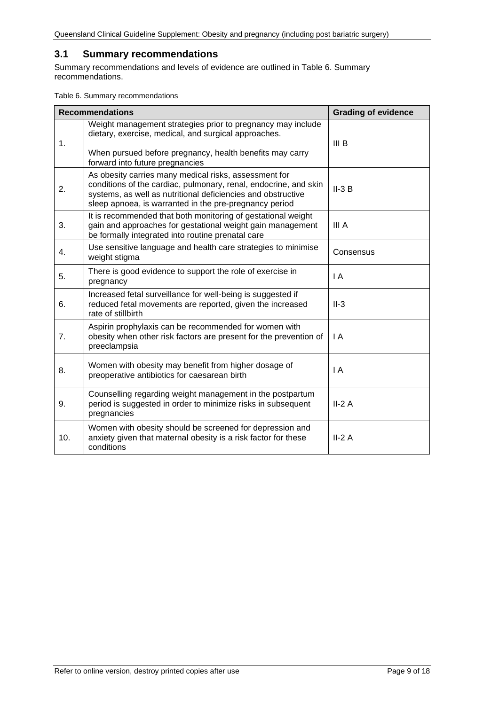#### <span id="page-8-0"></span>**3.1 Summary recommendations**

Summary recommendations and levels of evidence are outlined in Table 6. [Summary](#page-8-1)  [recommendations.](#page-8-1)

<span id="page-8-1"></span>Table 6. Summary recommendations

| <b>Recommendations</b> |                                                                                                                                                                                                                                                     | <b>Grading of evidence</b> |
|------------------------|-----------------------------------------------------------------------------------------------------------------------------------------------------------------------------------------------------------------------------------------------------|----------------------------|
| 1.                     | Weight management strategies prior to pregnancy may include<br>dietary, exercise, medical, and surgical approaches.<br>When pursued before pregnancy, health benefits may carry<br>forward into future pregnancies                                  | III B                      |
| 2.                     | As obesity carries many medical risks, assessment for<br>conditions of the cardiac, pulmonary, renal, endocrine, and skin<br>systems, as well as nutritional deficiencies and obstructive<br>sleep apnoea, is warranted in the pre-pregnancy period | $II-3B$                    |
| 3.                     | It is recommended that both monitoring of gestational weight<br>gain and approaches for gestational weight gain management<br>be formally integrated into routine prenatal care                                                                     | III A                      |
| 4.                     | Use sensitive language and health care strategies to minimise<br>weight stigma                                                                                                                                                                      | Consensus                  |
| 5.                     | There is good evidence to support the role of exercise in<br>pregnancy                                                                                                                                                                              | $\overline{A}$             |
| 6.                     | Increased fetal surveillance for well-being is suggested if<br>reduced fetal movements are reported, given the increased<br>rate of stillbirth                                                                                                      | $II-3$                     |
| 7.                     | Aspirin prophylaxis can be recommended for women with<br>obesity when other risk factors are present for the prevention of<br>preeclampsia                                                                                                          | $\overline{A}$             |
| 8.                     | Women with obesity may benefit from higher dosage of<br>preoperative antibiotics for caesarean birth                                                                                                                                                | $\overline{A}$             |
| 9.                     | Counselling regarding weight management in the postpartum<br>period is suggested in order to minimize risks in subsequent<br>pregnancies                                                                                                            | $II-2A$                    |
| 10.                    | Women with obesity should be screened for depression and<br>anxiety given that maternal obesity is a risk factor for these<br>conditions                                                                                                            | $II-2A$                    |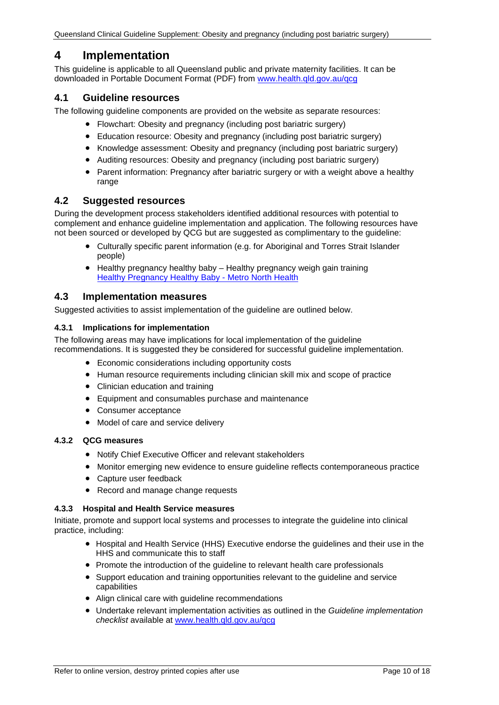# <span id="page-9-0"></span>**4 Implementation**

This guideline is applicable to all Queensland public and private maternity facilities. It can be downloaded in Portable Document Format (PDF) from [www.health.qld.gov.au/qcg](http://www.health.qld.gov.au/qcg)

#### <span id="page-9-1"></span>**4.1 Guideline resources**

The following guideline components are provided on the website as separate resources:

- Flowchart: Obesity and pregnancy (including post bariatric surgery)
- Education resource: Obesity and pregnancy (including post bariatric surgery)
- Knowledge assessment: Obesity and pregnancy (including post bariatric surgery)
- Auditing resources: Obesity and pregnancy (including post bariatric surgery)
- Parent information: Pregnancy after bariatric surgery or with a weight above a healthy range

#### <span id="page-9-2"></span>**4.2 Suggested resources**

During the development process stakeholders identified additional resources with potential to complement and enhance guideline implementation and application. The following resources have not been sourced or developed by QCG but are suggested as complimentary to the guideline:

- Culturally specific parent information (e.g. for Aboriginal and Torres Strait Islander people)
- Healthy pregnancy healthy baby Healthy pregnancy weigh gain training Healthy [Pregnancy Healthy Baby -](https://metronorth.health.qld.gov.au/health-professionals/healthy-pregnancy-healthy-baby) Metro North Health

#### <span id="page-9-3"></span>**4.3 Implementation measures**

Suggested activities to assist implementation of the guideline are outlined below.

#### <span id="page-9-4"></span>**4.3.1 Implications for implementation**

The following areas may have implications for local implementation of the guideline recommendations. It is suggested they be considered for successful guideline implementation.

- Economic considerations including opportunity costs
- Human resource requirements including clinician skill mix and scope of practice
- Clinician education and training
- Equipment and consumables purchase and maintenance
- Consumer acceptance
- Model of care and service delivery

#### <span id="page-9-5"></span>**4.3.2 QCG measures**

- Notify Chief Executive Officer and relevant stakeholders
- Monitor emerging new evidence to ensure guideline reflects contemporaneous practice
- Capture user feedback
- Record and manage change requests

#### <span id="page-9-6"></span>**4.3.3 Hospital and Health Service measures**

Initiate, promote and support local systems and processes to integrate the guideline into clinical practice, including:

- Hospital and Health Service (HHS) Executive endorse the guidelines and their use in the HHS and communicate this to staff
- Promote the introduction of the guideline to relevant health care professionals
- Support education and training opportunities relevant to the guideline and service capabilities
- Align clinical care with guideline recommendations
- Undertake relevant implementation activities as outlined in the *Guideline implementation checklist* available at [www.health.qld.gov.au/qcg](http://www.health.qld.gov.au/qcg)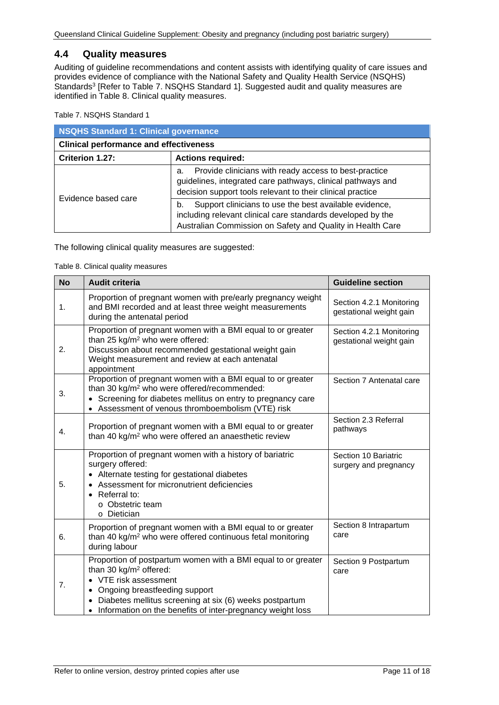#### <span id="page-10-0"></span>**4.4 Quality measures**

Auditing of guideline recommendations and content assists with identifying quality of care issues and provides evidence of compliance with the National Safety and Quality Health Service (NSQHS) Standards<sup>3</sup> [Refer to Table 7. [NSQHS Standard 1\]](#page-10-1). Suggested audit and quality measures are identified in [Table 8. Clinical quality measures.](#page-10-2)

<span id="page-10-1"></span>Table 7. NSQHS Standard 1

| NSQHS Standard 1: Clinical governance         |                                                                                                                                                                                           |  |  |
|-----------------------------------------------|-------------------------------------------------------------------------------------------------------------------------------------------------------------------------------------------|--|--|
| <b>Clinical performance and effectiveness</b> |                                                                                                                                                                                           |  |  |
| Criterion 1.27:<br><b>Actions required:</b>   |                                                                                                                                                                                           |  |  |
| Evidence based care                           | Provide clinicians with ready access to best-practice<br>а.<br>guidelines, integrated care pathways, clinical pathways and<br>decision support tools relevant to their clinical practice  |  |  |
|                                               | Support clinicians to use the best available evidence,<br>b.<br>including relevant clinical care standards developed by the<br>Australian Commission on Safety and Quality in Health Care |  |  |

<span id="page-10-2"></span>The following clinical quality measures are suggested:

#### Table 8. Clinical quality measures

| <b>No</b> | <b>Audit criteria</b>                                                                                                                                                                                                                                                                                   | <b>Guideline section</b>                            |
|-----------|---------------------------------------------------------------------------------------------------------------------------------------------------------------------------------------------------------------------------------------------------------------------------------------------------------|-----------------------------------------------------|
| 1.        | Proportion of pregnant women with pre/early pregnancy weight<br>and BMI recorded and at least three weight measurements<br>during the antenatal period                                                                                                                                                  | Section 4.2.1 Monitoring<br>gestational weight gain |
| 2.        | Proportion of pregnant women with a BMI equal to or greater<br>than 25 kg/m <sup>2</sup> who were offered:<br>Discussion about recommended gestational weight gain<br>Weight measurement and review at each antenatal<br>appointment                                                                    | Section 4.2.1 Monitoring<br>gestational weight gain |
| 3.        | Proportion of pregnant women with a BMI equal to or greater<br>than 30 kg/m <sup>2</sup> who were offered/recommended:<br>• Screening for diabetes mellitus on entry to pregnancy care<br>• Assessment of venous thromboembolism (VTE) risk                                                             | Section 7 Antenatal care                            |
| 4.        | Proportion of pregnant women with a BMI equal to or greater<br>than 40 kg/m <sup>2</sup> who were offered an anaesthetic review                                                                                                                                                                         | Section 2.3 Referral<br>pathways                    |
| 5.        | Proportion of pregnant women with a history of bariatric<br>surgery offered:<br>• Alternate testing for gestational diabetes<br>Assessment for micronutrient deficiencies<br>Referral to:<br>$\bullet$<br>○ Obstetric team<br>o Dietician                                                               | Section 10 Bariatric<br>surgery and pregnancy       |
| 6.        | Proportion of pregnant women with a BMI equal to or greater<br>than 40 kg/m <sup>2</sup> who were offered continuous fetal monitoring<br>during labour                                                                                                                                                  | Section 8 Intrapartum<br>care                       |
| 7.        | Proportion of postpartum women with a BMI equal to or greater<br>than 30 kg/m <sup>2</sup> offered:<br>• VTE risk assessment<br>Ongoing breastfeeding support<br>$\bullet$<br>• Diabetes mellitus screening at six (6) weeks postpartum<br>• Information on the benefits of inter-pregnancy weight loss | Section 9 Postpartum<br>care                        |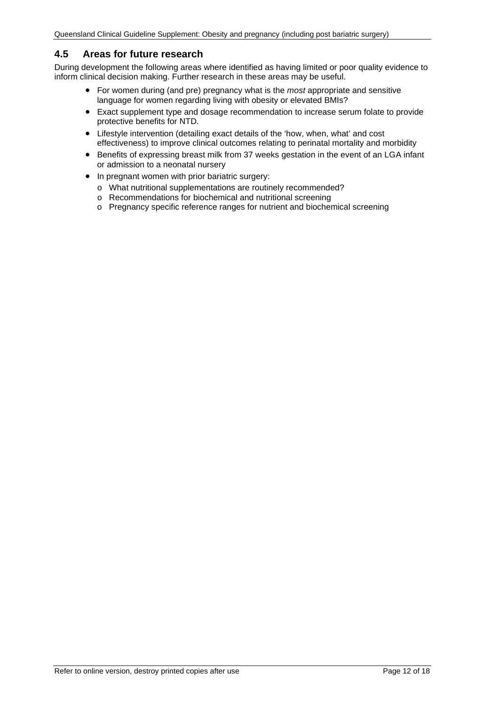#### <span id="page-11-0"></span>**4.5 Areas for future research**

During development the following areas where identified as having limited or poor quality evidence to inform clinical decision making. Further research in these areas may be useful.

- For women during (and pre) pregnancy what is the *most* appropriate and sensitive language for women regarding living with obesity or elevated BMIs?
- Exact supplement type and dosage recommendation to increase serum folate to provide protective benefits for NTD.
- Lifestyle intervention (detailing exact details of the 'how, when, what' and cost effectiveness) to improve clinical outcomes relating to perinatal mortality and morbidity
- Benefits of expressing breast milk from 37 weeks gestation in the event of an LGA infant or admission to a neonatal nursery
- In pregnant women with prior bariatric surgery:
	- o What nutritional supplementations are routinely recommended?
	- o Recommendations for biochemical and nutritional screening
	- o Pregnancy specific reference ranges for nutrient and biochemical screening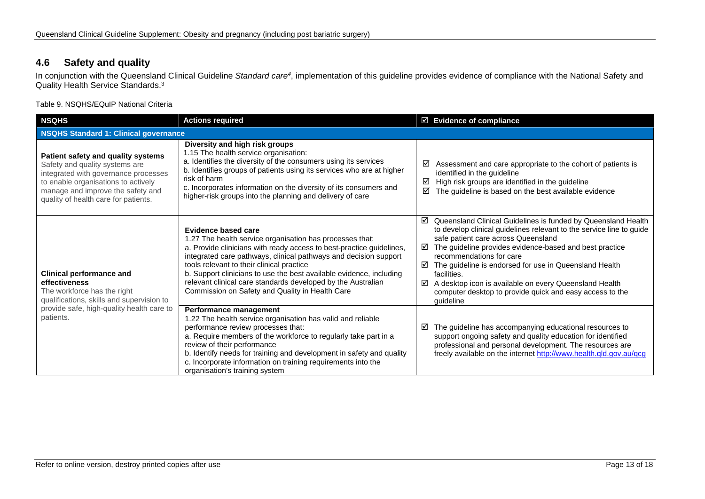# **4.6 Safety and quality**

In conjunction with the Queensland Clinical Guideline *Standard care4*, implementation of this guideline provides evidence of compliance with the National Safety and Quality Health Service Standards.<sup>3</sup>

Table 9. NSQHS/EQuIP National Criteria

<span id="page-12-1"></span><span id="page-12-0"></span>

| <b>NSQHS</b>                                                                                                                                                                                                                     | <b>Actions required</b>                                                                                                                                                                                                                                                                                                                                                                                                                                            | $\boxtimes$ Evidence of compliance                                                                                                                                                                                                                                                                                                                                                                                                                                                                  |  |
|----------------------------------------------------------------------------------------------------------------------------------------------------------------------------------------------------------------------------------|--------------------------------------------------------------------------------------------------------------------------------------------------------------------------------------------------------------------------------------------------------------------------------------------------------------------------------------------------------------------------------------------------------------------------------------------------------------------|-----------------------------------------------------------------------------------------------------------------------------------------------------------------------------------------------------------------------------------------------------------------------------------------------------------------------------------------------------------------------------------------------------------------------------------------------------------------------------------------------------|--|
| <b>NSQHS Standard 1: Clinical governance</b>                                                                                                                                                                                     |                                                                                                                                                                                                                                                                                                                                                                                                                                                                    |                                                                                                                                                                                                                                                                                                                                                                                                                                                                                                     |  |
| Patient safety and quality systems<br>Safety and quality systems are<br>integrated with governance processes<br>to enable organisations to actively<br>manage and improve the safety and<br>quality of health care for patients. | Diversity and high risk groups<br>1.15 The health service organisation:<br>a. Identifies the diversity of the consumers using its services<br>b. Identifies groups of patients using its services who are at higher<br>risk of harm<br>c. Incorporates information on the diversity of its consumers and<br>higher-risk groups into the planning and delivery of care                                                                                              | Assessment and care appropriate to the cohort of patients is<br>⊻<br>identified in the guideline<br>High risk groups are identified in the guideline<br>☑<br>The guideline is based on the best available evidence<br>☑                                                                                                                                                                                                                                                                             |  |
| <b>Clinical performance and</b><br>effectiveness<br>The workforce has the right<br>qualifications, skills and supervision to<br>provide safe, high-quality health care to<br>patients.                                           | Evidence based care<br>1.27 The health service organisation has processes that:<br>a. Provide clinicians with ready access to best-practice guidelines,<br>integrated care pathways, clinical pathways and decision support<br>tools relevant to their clinical practice<br>b. Support clinicians to use the best available evidence, including<br>relevant clinical care standards developed by the Australian<br>Commission on Safety and Quality in Health Care | ☑<br>Queensland Clinical Guidelines is funded by Queensland Health<br>to develop clinical guidelines relevant to the service line to guide<br>safe patient care across Queensland<br>The guideline provides evidence-based and best practice<br>☑<br>recommendations for care<br>☑<br>The guideline is endorsed for use in Queensland Health<br>facilities.<br>A desktop icon is available on every Queensland Health<br>☑<br>computer desktop to provide quick and easy access to the<br>quideline |  |
|                                                                                                                                                                                                                                  | Performance management<br>1.22 The health service organisation has valid and reliable<br>performance review processes that:<br>a. Require members of the workforce to regularly take part in a<br>review of their performance<br>b. Identify needs for training and development in safety and quality<br>c. Incorporate information on training requirements into the<br>organisation's training system                                                            | The guideline has accompanying educational resources to<br>☑<br>support ongoing safety and quality education for identified<br>professional and personal development. The resources are<br>freely available on the internet http://www.health.qld.gov.au/qcg                                                                                                                                                                                                                                        |  |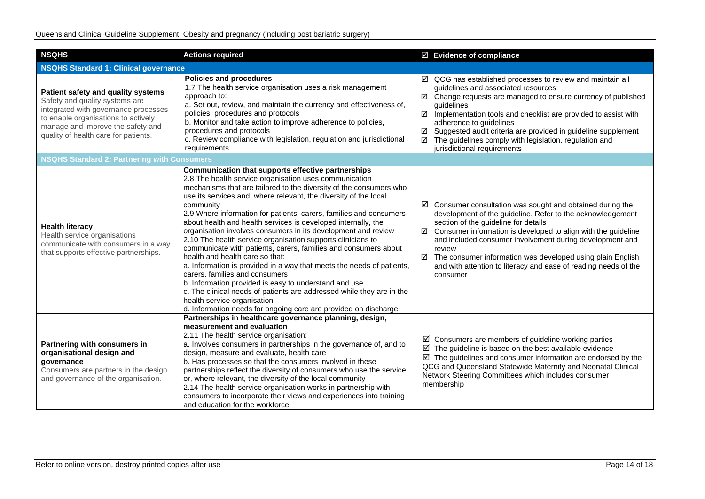| <b>NSQHS</b>                                                                                                                                                                                                                     | <b>Actions required</b>                                                                                                                                                                                                                                                                                                                                                                                                                                                                                                                                                                                                                                                                                                                                                                                                                                                                                                                                                                         | ☑ Evidence of compliance                                                                                                                                                                                                                                                                                                                                                                                                                                       |  |
|----------------------------------------------------------------------------------------------------------------------------------------------------------------------------------------------------------------------------------|-------------------------------------------------------------------------------------------------------------------------------------------------------------------------------------------------------------------------------------------------------------------------------------------------------------------------------------------------------------------------------------------------------------------------------------------------------------------------------------------------------------------------------------------------------------------------------------------------------------------------------------------------------------------------------------------------------------------------------------------------------------------------------------------------------------------------------------------------------------------------------------------------------------------------------------------------------------------------------------------------|----------------------------------------------------------------------------------------------------------------------------------------------------------------------------------------------------------------------------------------------------------------------------------------------------------------------------------------------------------------------------------------------------------------------------------------------------------------|--|
| <b>NSQHS Standard 1: Clinical governance</b>                                                                                                                                                                                     |                                                                                                                                                                                                                                                                                                                                                                                                                                                                                                                                                                                                                                                                                                                                                                                                                                                                                                                                                                                                 |                                                                                                                                                                                                                                                                                                                                                                                                                                                                |  |
| Patient safety and quality systems<br>Safety and quality systems are<br>integrated with governance processes<br>to enable organisations to actively<br>manage and improve the safety and<br>quality of health care for patients. | <b>Policies and procedures</b><br>1.7 The health service organisation uses a risk management<br>approach to:<br>a. Set out, review, and maintain the currency and effectiveness of,<br>policies, procedures and protocols<br>b. Monitor and take action to improve adherence to policies,<br>procedures and protocols<br>c. Review compliance with legislation, regulation and jurisdictional<br>requirements                                                                                                                                                                                                                                                                                                                                                                                                                                                                                                                                                                                   | QCG has established processes to review and maintain all<br>⊻<br>guidelines and associated resources<br>☑ Change requests are managed to ensure currency of published<br>guidelines<br>☑<br>Implementation tools and checklist are provided to assist with<br>adherence to guidelines<br>Suggested audit criteria are provided in guideline supplement<br>☑<br>☑ The guidelines comply with legislation, regulation and<br>jurisdictional requirements         |  |
| <b>NSQHS Standard 2: Partnering with Consumers</b>                                                                                                                                                                               |                                                                                                                                                                                                                                                                                                                                                                                                                                                                                                                                                                                                                                                                                                                                                                                                                                                                                                                                                                                                 |                                                                                                                                                                                                                                                                                                                                                                                                                                                                |  |
| <b>Health literacy</b><br>Health service organisations<br>communicate with consumers in a way<br>that supports effective partnerships.                                                                                           | Communication that supports effective partnerships<br>2.8 The health service organisation uses communication<br>mechanisms that are tailored to the diversity of the consumers who<br>use its services and, where relevant, the diversity of the local<br>community<br>2.9 Where information for patients, carers, families and consumers<br>about health and health services is developed internally, the<br>organisation involves consumers in its development and review<br>2.10 The health service organisation supports clinicians to<br>communicate with patients, carers, families and consumers about<br>health and health care so that:<br>a. Information is provided in a way that meets the needs of patients,<br>carers, families and consumers<br>b. Information provided is easy to understand and use<br>c. The clinical needs of patients are addressed while they are in the<br>health service organisation<br>d. Information needs for ongoing care are provided on discharge | Consumer consultation was sought and obtained during the<br>☑<br>development of the guideline. Refer to the acknowledgement<br>section of the guideline for details<br>Consumer information is developed to align with the guideline<br>☑<br>and included consumer involvement during development and<br>review<br>☑ The consumer information was developed using plain English<br>and with attention to literacy and ease of reading needs of the<br>consumer |  |
| Partnering with consumers in<br>organisational design and<br>governance<br>Consumers are partners in the design<br>and governance of the organisation.                                                                           | Partnerships in healthcare governance planning, design,<br>measurement and evaluation<br>2.11 The health service organisation:<br>a. Involves consumers in partnerships in the governance of, and to<br>design, measure and evaluate, health care<br>b. Has processes so that the consumers involved in these<br>partnerships reflect the diversity of consumers who use the service<br>or, where relevant, the diversity of the local community<br>2.14 The health service organisation works in partnership with<br>consumers to incorporate their views and experiences into training<br>and education for the workforce                                                                                                                                                                                                                                                                                                                                                                     | $\boxtimes$ Consumers are members of guideline working parties<br>$\boxtimes$ The guideline is based on the best available evidence<br>$\boxtimes$ The guidelines and consumer information are endorsed by the<br>QCG and Queensland Statewide Maternity and Neonatal Clinical<br>Network Steering Committees which includes consumer<br>membership                                                                                                            |  |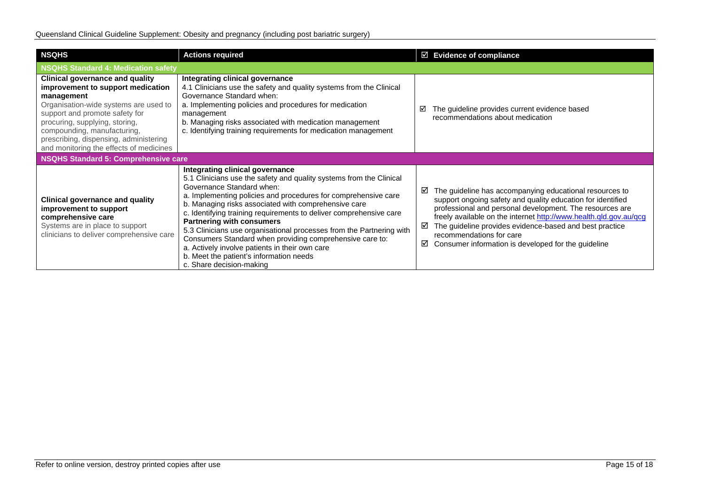| <b>NSQHS</b>                                                                                                                                                                                                                                                                                                               | <b>Actions required</b>                                                                                                                                                                                                                                                                                                                                                                                                                                                                                                                                                                                                              | $\boxtimes$ Evidence of compliance                                                                                                                                                                                                                                                                                                                                                                                   |  |  |
|----------------------------------------------------------------------------------------------------------------------------------------------------------------------------------------------------------------------------------------------------------------------------------------------------------------------------|--------------------------------------------------------------------------------------------------------------------------------------------------------------------------------------------------------------------------------------------------------------------------------------------------------------------------------------------------------------------------------------------------------------------------------------------------------------------------------------------------------------------------------------------------------------------------------------------------------------------------------------|----------------------------------------------------------------------------------------------------------------------------------------------------------------------------------------------------------------------------------------------------------------------------------------------------------------------------------------------------------------------------------------------------------------------|--|--|
| <b>NSQHS Standard 4: Medication safety</b>                                                                                                                                                                                                                                                                                 |                                                                                                                                                                                                                                                                                                                                                                                                                                                                                                                                                                                                                                      |                                                                                                                                                                                                                                                                                                                                                                                                                      |  |  |
| <b>Clinical governance and quality</b><br>improvement to support medication<br>management<br>Organisation-wide systems are used to<br>support and promote safety for<br>procuring, supplying, storing,<br>compounding, manufacturing,<br>prescribing, dispensing, administering<br>and monitoring the effects of medicines | Integrating clinical governance<br>4.1 Clinicians use the safety and quality systems from the Clinical<br>Governance Standard when:<br>a. Implementing policies and procedures for medication<br>management<br>b. Managing risks associated with medication management<br>c. Identifying training requirements for medication management                                                                                                                                                                                                                                                                                             | The guideline provides current evidence based<br>☑<br>recommendations about medication                                                                                                                                                                                                                                                                                                                               |  |  |
| <b>NSQHS Standard 5: Comprehensive care</b>                                                                                                                                                                                                                                                                                |                                                                                                                                                                                                                                                                                                                                                                                                                                                                                                                                                                                                                                      |                                                                                                                                                                                                                                                                                                                                                                                                                      |  |  |
| <b>Clinical governance and quality</b><br>improvement to support<br>comprehensive care<br>Systems are in place to support<br>clinicians to deliver comprehensive care                                                                                                                                                      | Integrating clinical governance<br>5.1 Clinicians use the safety and quality systems from the Clinical<br>Governance Standard when:<br>a. Implementing policies and procedures for comprehensive care<br>b. Managing risks associated with comprehensive care<br>c. Identifying training requirements to deliver comprehensive care<br><b>Partnering with consumers</b><br>5.3 Clinicians use organisational processes from the Partnering with<br>Consumers Standard when providing comprehensive care to:<br>a. Actively involve patients in their own care<br>b. Meet the patient's information needs<br>c. Share decision-making | The guideline has accompanying educational resources to<br>☑<br>support ongoing safety and quality education for identified<br>professional and personal development. The resources are<br>freely available on the internet http://www.health.qld.gov.au/qcg<br>The guideline provides evidence-based and best practice<br>⊻<br>recommendations for care<br>Consumer information is developed for the guideline<br>⊻ |  |  |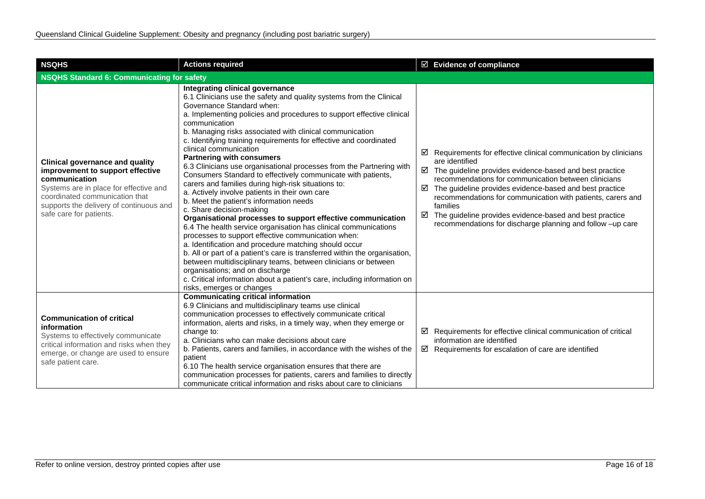| <b>NSQHS</b>                                                                                                                                                                                                                                  | <b>Actions required</b>                                                                                                                                                                                                                                                                                                                                                                                                                                                                                                                                                                                                                                                                                                                                                                                                                                                                                                                                                                                                                                                                                                                                                                                                                                                                            | $\boxtimes$ Evidence of compliance                                                                                                                                                                                                                                                                                                                                                                                                                                                                           |  |  |
|-----------------------------------------------------------------------------------------------------------------------------------------------------------------------------------------------------------------------------------------------|----------------------------------------------------------------------------------------------------------------------------------------------------------------------------------------------------------------------------------------------------------------------------------------------------------------------------------------------------------------------------------------------------------------------------------------------------------------------------------------------------------------------------------------------------------------------------------------------------------------------------------------------------------------------------------------------------------------------------------------------------------------------------------------------------------------------------------------------------------------------------------------------------------------------------------------------------------------------------------------------------------------------------------------------------------------------------------------------------------------------------------------------------------------------------------------------------------------------------------------------------------------------------------------------------|--------------------------------------------------------------------------------------------------------------------------------------------------------------------------------------------------------------------------------------------------------------------------------------------------------------------------------------------------------------------------------------------------------------------------------------------------------------------------------------------------------------|--|--|
|                                                                                                                                                                                                                                               | NSQHS Standard 6: Communicating for safety                                                                                                                                                                                                                                                                                                                                                                                                                                                                                                                                                                                                                                                                                                                                                                                                                                                                                                                                                                                                                                                                                                                                                                                                                                                         |                                                                                                                                                                                                                                                                                                                                                                                                                                                                                                              |  |  |
| <b>Clinical governance and quality</b><br>improvement to support effective<br>communication<br>Systems are in place for effective and<br>coordinated communication that<br>supports the delivery of continuous and<br>safe care for patients. | Integrating clinical governance<br>6.1 Clinicians use the safety and quality systems from the Clinical<br>Governance Standard when:<br>a. Implementing policies and procedures to support effective clinical<br>communication<br>b. Managing risks associated with clinical communication<br>c. Identifying training requirements for effective and coordinated<br>clinical communication<br><b>Partnering with consumers</b><br>6.3 Clinicians use organisational processes from the Partnering with<br>Consumers Standard to effectively communicate with patients,<br>carers and families during high-risk situations to:<br>a. Actively involve patients in their own care<br>b. Meet the patient's information needs<br>c. Share decision-making<br>Organisational processes to support effective communication<br>6.4 The health service organisation has clinical communications<br>processes to support effective communication when:<br>a. Identification and procedure matching should occur<br>b. All or part of a patient's care is transferred within the organisation,<br>between multidisciplinary teams, between clinicians or between<br>organisations; and on discharge<br>c. Critical information about a patient's care, including information on<br>risks, emerges or changes | ☑<br>Requirements for effective clinical communication by clinicians<br>are identified<br>$\boxtimes$ The guideline provides evidence-based and best practice<br>recommendations for communication between clinicians<br>$\boxtimes$ The guideline provides evidence-based and best practice<br>recommendations for communication with patients, carers and<br>families<br>$\boxtimes$ The guideline provides evidence-based and best practice<br>recommendations for discharge planning and follow -up care |  |  |
| <b>Communication of critical</b><br>information<br>Systems to effectively communicate<br>critical information and risks when they<br>emerge, or change are used to ensure<br>safe patient care.                                               | <b>Communicating critical information</b><br>6.9 Clinicians and multidisciplinary teams use clinical<br>communication processes to effectively communicate critical<br>information, alerts and risks, in a timely way, when they emerge or<br>change to:<br>a. Clinicians who can make decisions about care<br>b. Patients, carers and families, in accordance with the wishes of the<br>patient<br>6.10 The health service organisation ensures that there are<br>communication processes for patients, carers and families to directly<br>communicate critical information and risks about care to clinicians                                                                                                                                                                                                                                                                                                                                                                                                                                                                                                                                                                                                                                                                                    | $\boxtimes$ Requirements for effective clinical communication of critical<br>information are identified<br>$\boxtimes$ Requirements for escalation of care are identified                                                                                                                                                                                                                                                                                                                                    |  |  |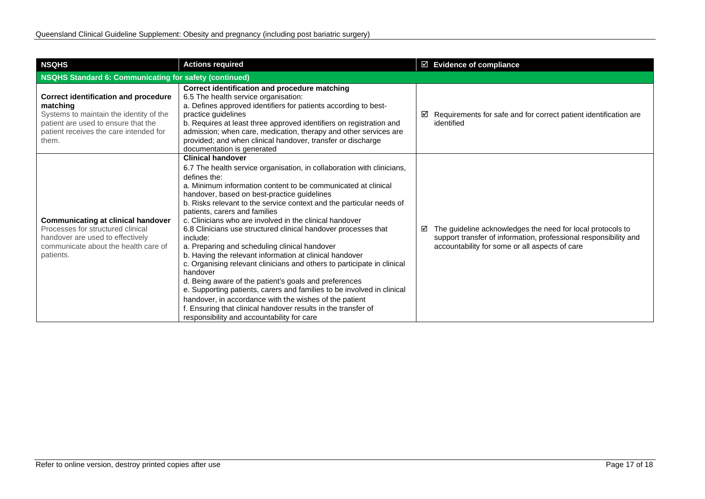| <b>NSQHS</b>                                                                                                                                                                                 | <b>Actions required</b>                                                                                                                                                                                                                                                                                                                                                                                                                                                                                                                                                                                                                                                                                                                                                                                                                                                                                                                                                                             | $\boxtimes$ Evidence of compliance                                                                                                                                                    |  |
|----------------------------------------------------------------------------------------------------------------------------------------------------------------------------------------------|-----------------------------------------------------------------------------------------------------------------------------------------------------------------------------------------------------------------------------------------------------------------------------------------------------------------------------------------------------------------------------------------------------------------------------------------------------------------------------------------------------------------------------------------------------------------------------------------------------------------------------------------------------------------------------------------------------------------------------------------------------------------------------------------------------------------------------------------------------------------------------------------------------------------------------------------------------------------------------------------------------|---------------------------------------------------------------------------------------------------------------------------------------------------------------------------------------|--|
| NSQHS Standard 6: Communicating for safety (continued)                                                                                                                                       |                                                                                                                                                                                                                                                                                                                                                                                                                                                                                                                                                                                                                                                                                                                                                                                                                                                                                                                                                                                                     |                                                                                                                                                                                       |  |
| <b>Correct identification and procedure</b><br>matching<br>Systems to maintain the identity of the<br>patient are used to ensure that the<br>patient receives the care intended for<br>them. | Correct identification and procedure matching<br>6.5 The health service organisation:<br>a. Defines approved identifiers for patients according to best-<br>practice guidelines<br>b. Requires at least three approved identifiers on registration and<br>admission; when care, medication, therapy and other services are<br>provided; and when clinical handover, transfer or discharge<br>documentation is generated                                                                                                                                                                                                                                                                                                                                                                                                                                                                                                                                                                             | Requirements for safe and for correct patient identification are<br>☑<br>identified                                                                                                   |  |
| <b>Communicating at clinical handover</b><br>Processes for structured clinical<br>handover are used to effectively<br>communicate about the health care of<br>patients.                      | <b>Clinical handover</b><br>6.7 The health service organisation, in collaboration with clinicians,<br>defines the:<br>a. Minimum information content to be communicated at clinical<br>handover, based on best-practice guidelines<br>b. Risks relevant to the service context and the particular needs of<br>patients, carers and families<br>c. Clinicians who are involved in the clinical handover<br>6.8 Clinicians use structured clinical handover processes that<br>include:<br>a. Preparing and scheduling clinical handover<br>b. Having the relevant information at clinical handover<br>c. Organising relevant clinicians and others to participate in clinical<br>handover<br>d. Being aware of the patient's goals and preferences<br>e. Supporting patients, carers and families to be involved in clinical<br>handover, in accordance with the wishes of the patient<br>f. Ensuring that clinical handover results in the transfer of<br>responsibility and accountability for care | The guideline acknowledges the need for local protocols to<br>☑<br>support transfer of information, professional responsibility and<br>accountability for some or all aspects of care |  |